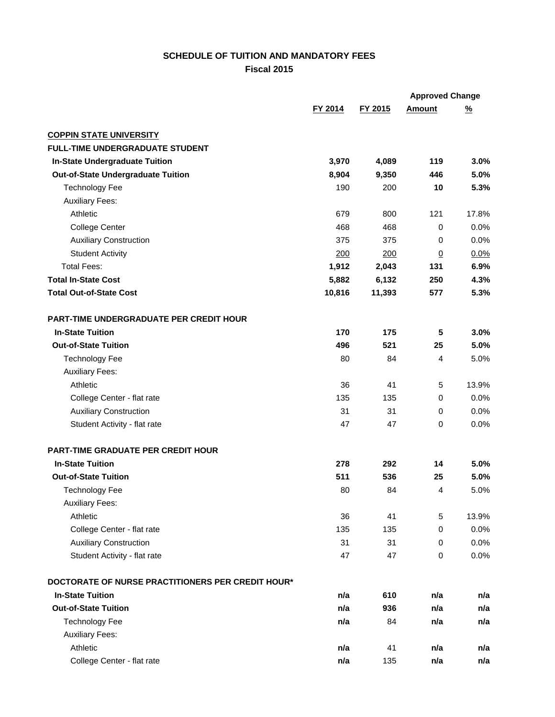## **SCHEDULE OF TUITION AND MANDATORY FEES Fiscal 2015**

|                                                   |         |         | <b>Approved Change</b> |               |
|---------------------------------------------------|---------|---------|------------------------|---------------|
|                                                   | FY 2014 | FY 2015 | <b>Amount</b>          | $\frac{9}{6}$ |
| <b>COPPIN STATE UNIVERSITY</b>                    |         |         |                        |               |
| <b>FULL-TIME UNDERGRADUATE STUDENT</b>            |         |         |                        |               |
| In-State Undergraduate Tuition                    | 3,970   | 4,089   | 119                    | 3.0%          |
| <b>Out-of-State Undergraduate Tuition</b>         | 8,904   | 9,350   | 446                    | 5.0%          |
| <b>Technology Fee</b>                             | 190     | 200     | 10                     | 5.3%          |
| <b>Auxiliary Fees:</b>                            |         |         |                        |               |
| Athletic                                          | 679     | 800     | 121                    | 17.8%         |
| <b>College Center</b>                             | 468     | 468     | 0                      | 0.0%          |
| <b>Auxiliary Construction</b>                     | 375     | 375     | 0                      | 0.0%          |
| <b>Student Activity</b>                           | 200     | 200     | $\underline{0}$        | 0.0%          |
| <b>Total Fees:</b>                                | 1,912   | 2,043   | 131                    | 6.9%          |
| <b>Total In-State Cost</b>                        | 5,882   | 6,132   | 250                    | 4.3%          |
| <b>Total Out-of-State Cost</b>                    | 10,816  | 11,393  | 577                    | 5.3%          |
| PART-TIME UNDERGRADUATE PER CREDIT HOUR           |         |         |                        |               |
| <b>In-State Tuition</b>                           | 170     | 175     | 5                      | 3.0%          |
| <b>Out-of-State Tuition</b>                       | 496     | 521     | 25                     | 5.0%          |
| <b>Technology Fee</b>                             | 80      | 84      | 4                      | 5.0%          |
| <b>Auxiliary Fees:</b>                            |         |         |                        |               |
| Athletic                                          | 36      | 41      | 5                      | 13.9%         |
| College Center - flat rate                        | 135     | 135     | 0                      | 0.0%          |
| <b>Auxiliary Construction</b>                     | 31      | 31      | 0                      | 0.0%          |
| Student Activity - flat rate                      | 47      | 47      | 0                      | 0.0%          |
| <b>PART-TIME GRADUATE PER CREDIT HOUR</b>         |         |         |                        |               |
| <b>In-State Tuition</b>                           | 278     | 292     | 14                     | 5.0%          |
| <b>Out-of-State Tuition</b>                       | 511     | 536     | 25                     | 5.0%          |
| <b>Technology Fee</b>                             | 80      | 84      | 4                      | 5.0%          |
| <b>Auxiliary Fees:</b>                            |         |         |                        |               |
| Athletic                                          | 36      | 41      | 5                      | 13.9%         |
| College Center - flat rate                        | 135     | 135     | 0                      | 0.0%          |
| <b>Auxiliary Construction</b>                     | 31      | 31      | 0                      | 0.0%          |
| Student Activity - flat rate                      | 47      | 47      | 0                      | 0.0%          |
| DOCTORATE OF NURSE PRACTITIONERS PER CREDIT HOUR* |         |         |                        |               |
| <b>In-State Tuition</b>                           | n/a     | 610     | n/a                    | n/a           |
| <b>Out-of-State Tuition</b>                       | n/a     | 936     | n/a                    | n/a           |
| <b>Technology Fee</b>                             | n/a     | 84      | n/a                    | n/a           |
| <b>Auxiliary Fees:</b>                            |         |         |                        |               |
| Athletic                                          | n/a     | 41      | n/a                    | n/a           |
| College Center - flat rate                        | n/a     | 135     | n/a                    | n/a           |